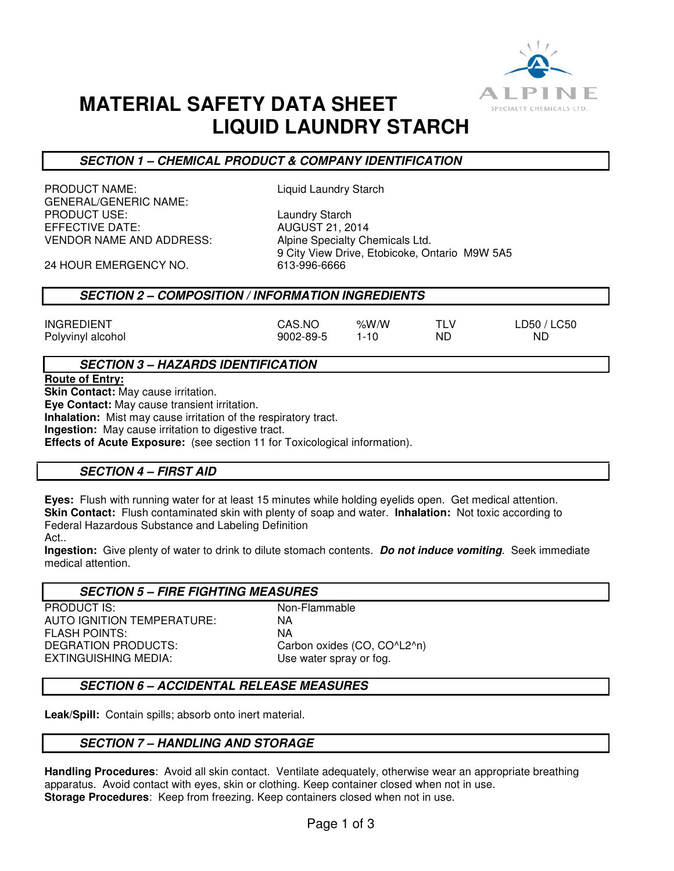

# **MATERIAL SAFETY DATA SHEET LIQUID LAUNDRY STARCH**

# **SECTION 1 – CHEMICAL PRODUCT & COMPANY IDENTIFICATION**

PRODUCT NAME: Liquid Laundry Starch GENERAL/GENERIC NAME: PRODUCT USE: Laundry Starch EFFECTIVE DATE: VENDOR NAME AND ADDRESS: Alpine Specialty Chemicals Ltd.

9 City View Drive, Etobicoke, Ontario M9W 5A5<br>613-996-6666

24 HOUR EMERGENCY NO.

## **SECTION 2 – COMPOSITION / INFORMATION INGREDIENTS**

| CAS.NO    | %W/W     | TI V | LD50 / LC50 |
|-----------|----------|------|-------------|
| 9002-89-5 | $1 - 10$ | ND.  | ND.         |

## **SECTION 3 – HAZARDS IDENTIFICATION**

**Route of Entry:** 

**INGREDIENT** Polyvinyl alcohol

**Skin Contact:** May cause irritation.

**Eye Contact:** May cause transient irritation.

**Inhalation:** Mist may cause irritation of the respiratory tract.

**Ingestion:** May cause irritation to digestive tract.

**Effects of Acute Exposure:** (see section 11 for Toxicological information).

# **SECTION 4 – FIRST AID**

**Eyes:** Flush with running water for at least 15 minutes while holding eyelids open. Get medical attention. **Skin Contact:** Flush contaminated skin with plenty of soap and water. **Inhalation:** Not toxic according to Federal Hazardous Substance and Labeling Definition

Act..

**Ingestion:** Give plenty of water to drink to dilute stomach contents. **Do not induce vomiting**. Seek immediate medical attention.

#### **SECTION 5 – FIRE FIGHTING MEASURES**

PRODUCT IS: Non-Flammable AUTO IGNITION TEMPERATURE: NA FLASH POINTS: NA DEGRATION PRODUCTS: Carbon oxides (CO, CO^L2^n) EXTINGUISHING MEDIA: Use water spray or fog.

# **SECTION 6 – ACCIDENTAL RELEASE MEASURES**

**Leak/Spill:** Contain spills; absorb onto inert material.

## **SECTION 7 – HANDLING AND STORAGE**

**Handling Procedures**: Avoid all skin contact. Ventilate adequately, otherwise wear an appropriate breathing apparatus. Avoid contact with eyes, skin or clothing. Keep container closed when not in use. **Storage Procedures**: Keep from freezing. Keep containers closed when not in use.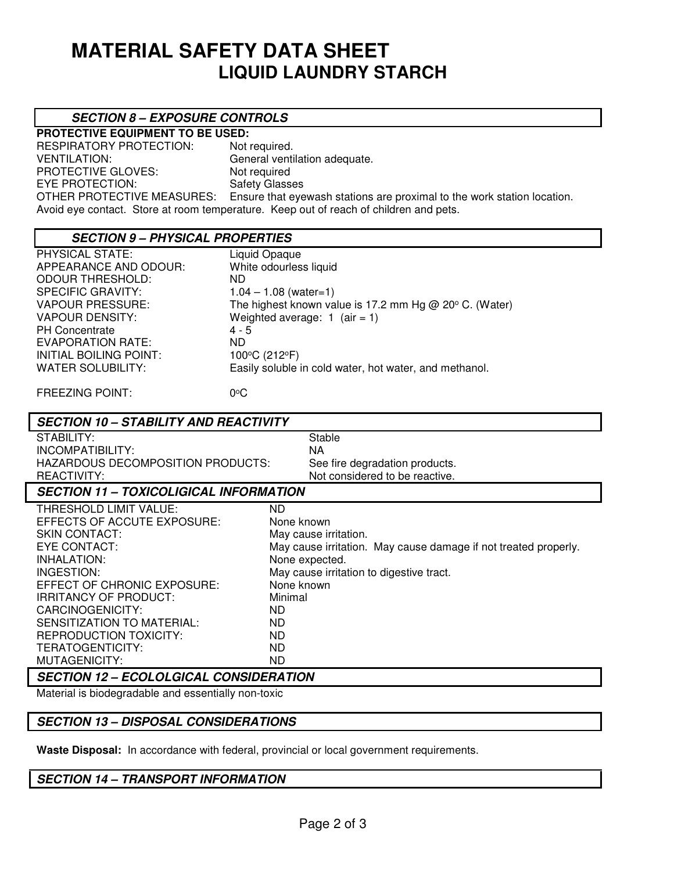# **MATERIAL SAFETY DATA SHEET LIQUID LAUNDRY STARCH**

## **SECTION 8 – EXPOSURE CONTROLS**

**PROTECTIVE EQUIPMENT TO BE USED:**  RESPIRATORY PROTECTION: Not required. VENTILATION: General ventilation adequate. PROTECTIVE GLOVES: Not required EYE PROTECTION: Safety Glasses<br>OTHER PROTECTIVE MEASURES: Ensure that eye Ensure that eyewash stations are proximal to the work station location. Avoid eye contact. Store at room temperature. Keep out of reach of children and pets.

#### **SECTION 9 – PHYSICAL PROPERTIES**

PHYSICAL STATE: Liquid Opaque APPEARANCE AND ODOUR: White odourless liquid ODOUR THRESHOLD: ND SPECIFIC GRAVITY:  $1.04 - 1.08$  (water=1) VAPOUR PRESSURE: The highest known value is 17.2 mm Hg @ 20 $\degree$  C. (Water) VAPOUR DENSITY: Weighted average: 1 (air = 1) PH Concentrate 4 - 5 EVAPORATION RATE: ND INITIAL BOILING POINT: 100°C (212°F) WATER SOLUBILITY: Easily soluble in cold water, hot water, and methanol.

FREEZING POINT: 0<sup>o</sup>C

## **SECTION 10 – STABILITY AND REACTIVITY**

STABILITY: STABILITY: INCOMPATIBILITY: NA HAZARDOUS DECOMPOSITION PRODUCTS: See fire degradation products. REACTIVITY: Not considered to be reactive.

## **SECTION 11 – TOXICOLIGICAL INFORMATION**

| THRESHOLD LIMIT VALUE:                     | ND.                                                             |  |  |  |
|--------------------------------------------|-----------------------------------------------------------------|--|--|--|
| EFFECTS OF ACCUTE EXPOSURE:                | None known                                                      |  |  |  |
| SKIN CONTACT:                              | May cause irritation.                                           |  |  |  |
| EYE CONTACT:                               | May cause irritation. May cause damage if not treated properly. |  |  |  |
| INHALATION:                                | None expected.                                                  |  |  |  |
| INGESTION:                                 | May cause irritation to digestive tract.                        |  |  |  |
| EFFECT OF CHRONIC EXPOSURE:                | None known                                                      |  |  |  |
| <b>IRRITANCY OF PRODUCT:</b>               | Minimal                                                         |  |  |  |
| CARCINOGENICITY:                           | ND.                                                             |  |  |  |
| SENSITIZATION TO MATERIAL:                 | ND.                                                             |  |  |  |
| REPRODUCTION TOXICITY:                     | ND.                                                             |  |  |  |
| TERATOGENTICITY:                           | ND.                                                             |  |  |  |
| MUTAGENICITY:                              | ND.                                                             |  |  |  |
| AFATIALLIA – FAALALAIALLI AALIAIRER LTIALI |                                                                 |  |  |  |

## **SECTION 12 – ECOLOLGICAL CONSIDERATION**

Material is biodegradable and essentially non-toxic

## **SECTION 13 – DISPOSAL CONSIDERATIONS**

**Waste Disposal:** In accordance with federal, provincial or local government requirements.

## **SECTION 14 – TRANSPORT INFORMATION**